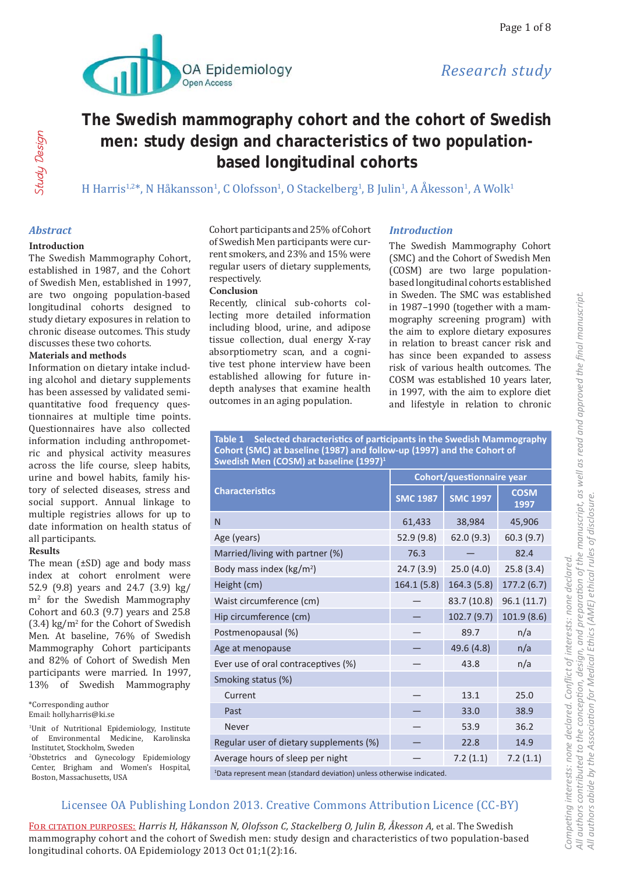

# Study Design Study Design

# **The Swedish mammography cohort and the cohort of Swedish men: study design and characteristics of two populationbased longitudinal cohorts**

H Harris<sup>1,2</sup>\*, N Håkansson<sup>1</sup>, C Olofsson<sup>1</sup>, O Stackelberg<sup>1</sup>, B Julin<sup>1</sup>, A Åkesson<sup>1</sup>, A Wolk<sup>1</sup>

#### *Abstract*

#### **Introduction**

The Swedish Mammography Cohort, established in 1987, and the Cohort of Swedish Men, established in 1997, are two ongoing population-based longitudinal cohorts designed to study dietary exposures in relation to chronic disease outcomes. This study discusses these two cohorts.

#### **Materials and methods**

Information on dietary intake including alcohol and dietary supplements has been assessed by validated semiquantitative food frequency questionnaires at multiple time points. Questionnaires have also collected information including anthropometric and physical activity measures across the life course, sleep habits, urine and bowel habits, family history of selected diseases, stress and social support. Annual linkage to multiple registries allows for up to date information on health status of all participants.

#### **Results**

The mean  $(\pm SD)$  age and body mass index at cohort enrolment were 52.9 (9.8) years and 24.7 (3.9) kg/ m2 for the Swedish Mammography Cohort and 60.3 (9.7) years and 25.8 (3.4) kg/m2 for the Cohort of Swedish Men. At baseline, 76% of Swedish Mammography Cohort participants and 82% of Cohort of Swedish Men participants were married. In 1997, 13% of Swedish Mammography

\*Corresponding author Email: holly.harris@ki.se

<sup>1</sup>Unit of Nutritional Epidemiology, Institute of Environmental Medicine, Karolinska Institutet, Stockholm, Sweden

2 Obstetrics and Gynecology Epidemiology Center, Brigham and Women's Hospital, Boston, Massachusetts, USA

Cohort participants and 25% of Cohort of Swedish Men participants were current smokers, and 23% and 15% were regular users of dietary supplements, respectively.

#### **Conclusion**

Recently, clinical sub-cohorts collecting more detailed information including blood, urine, and adipose tissue collection, dual energy X-ray absorptiometry scan, and a cognitive test phone interview have been established allowing for future indepth analyses that examine health outcomes in an aging population.

#### *Introduction*

The Swedish Mammography Cohort (SMC) and the Cohort of Swedish Men (COSM) are two large populationbased longitudinal cohorts established in Sweden. The SMC was established in 1987–1990 (together with a mammography screening program) with the aim to explore dietary exposures in relation to breast cancer risk and has since been expanded to assess risk of various health outcomes. The COSM was established 10 years later, in 1997, with the aim to explore diet and lifestyle in relation to chronic

**Table 1 Selected characteristics of participants in the Swedish Mammography Cohort (SMC) at baseline (1987) and follow-up (1997) and the Cohort of Swedish Men (COSM) at baseline (1997)1**

|                                                                                  | Cohort/questionnaire year |                 |                     |  |
|----------------------------------------------------------------------------------|---------------------------|-----------------|---------------------|--|
| <b>Characteristics</b>                                                           | <b>SMC 1987</b>           | <b>SMC 1997</b> | <b>COSM</b><br>1997 |  |
| N                                                                                | 61,433                    | 38,984          | 45,906              |  |
| Age (years)                                                                      | 52.9 (9.8)                | 62.0(9.3)       | 60.3(9.7)           |  |
| Married/living with partner (%)                                                  | 76.3                      |                 | 82.4                |  |
| Body mass index ( $\text{kg/m}^2$ )                                              | 24.7(3.9)                 | 25.0(4.0)       | 25.8(3.4)           |  |
| Height (cm)                                                                      | 164.1(5.8)                | 164.3(5.8)      | 177.2(6.7)          |  |
| Waist circumference (cm)                                                         |                           | 83.7 (10.8)     | 96.1(11.7)          |  |
| Hip circumference (cm)                                                           |                           | 102.7(9.7)      | 101.9(8.6)          |  |
| Postmenopausal (%)                                                               |                           | 89.7            | n/a                 |  |
| Age at menopause                                                                 |                           | 49.6 (4.8)      | n/a                 |  |
| Ever use of oral contraceptives (%)                                              |                           | 43.8            | n/a                 |  |
| Smoking status (%)                                                               |                           |                 |                     |  |
| Current                                                                          |                           | 13.1            | 25.0                |  |
| Past                                                                             |                           | 33.0            | 38.9                |  |
| Never                                                                            |                           | 53.9            | 36.2                |  |
| Regular user of dietary supplements (%)                                          |                           | 22.8            | 14.9                |  |
| Average hours of sleep per night                                                 |                           | 7.2(1.1)        | 7.2(1.1)            |  |
| <sup>1</sup> Data represent mean (standard deviation) unless otherwise indicated |                           |                 |                     |  |

Data represent mean (standard deviation) unless otherwise indicated.

## Licensee OA Publishing London 2013. Creative Commons Attribution Licence (CC-BY)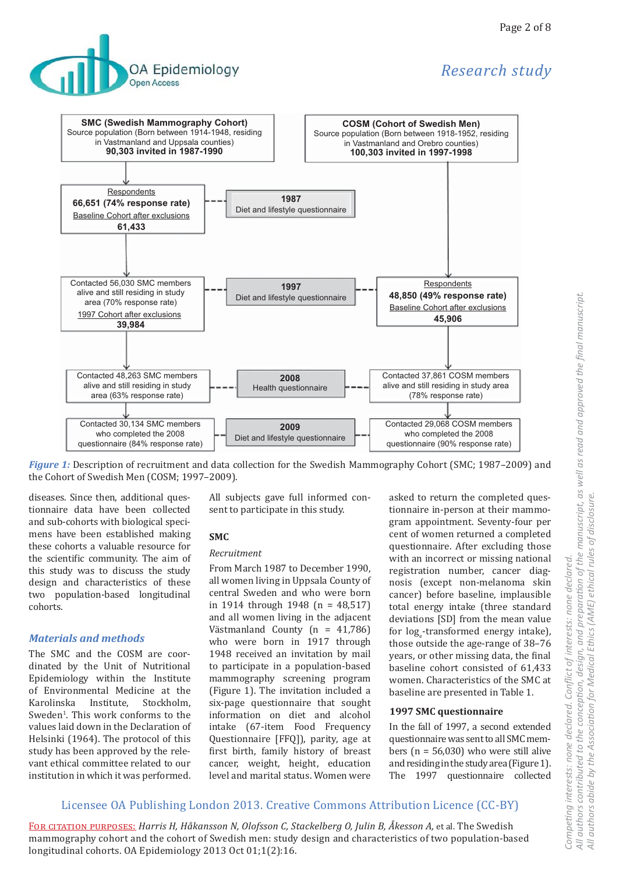

# Research study



Figure 1: Description of recruitment and data collection for the Swedish Mammography Cohort (SMC; 1987–2009) and the Cohort of Swedish Men (COSM; 1997-2009).

diseases. Since then, additional questionnaire data have been collected and sub-cohorts with biological specimens have been established making these cohorts a valuable resource for the scientific community. The aim of this study was to discuss the study design and characteristics of these two population-based longitudinal cohorts.

#### **Materials and methods**

The SMC and the COSM are coordinated by the Unit of Nutritional Epidemiology within the Institute of Environmental Medicine at the Karolinska Institute, Stockholm. Sweden<sup>1</sup>. This work conforms to the values laid down in the Declaration of Helsinki (1964). The protocol of this study has been approved by the relevant ethical committee related to our institution in which it was performed.

All subjects gave full informed consent to participate in this study.

#### SMC<sub>.</sub>

#### Recruitment

From March 1987 to December 1990, all women living in Uppsala County of central Sweden and who were born in 1914 through 1948 (n = 48,517) and all women living in the adjacent Västmanland County (n = 41,786) who were born in 1917 through 1948 received an invitation by mail to participate in a population-based mammography screening program (Figure 1). The invitation included a six-page questionnaire that sought information on diet and alcohol intake (67-item Food Frequency Questionnaire [FFQ]), parity, age at first birth, family history of breast cancer, weight, height, education level and marital status. Women were

asked to return the completed questionnaire in-person at their mammogram appointment. Seventy-four per cent of women returned a completed questionnaire. After excluding those with an incorrect or missing national registration number, cancer diagnosis (except non-melanoma skin cancer) before baseline, implausible total energy intake (three standard deviations [SD] from the mean value for log-transformed energy intake). those outside the age-range of 38-76 years, or other missing data, the final baseline cohort consisted of 61,433 women. Characteristics of the SMC at baseline are presented in Table 1.

#### **1997 SMC questionnaire**

In the fall of 1997, a second extended questionnaire was sent to all SMC members ( $n = 56,030$ ) who were still alive and residing in the study area (Figure 1). The 1997 questionnaire collected

## Licensee OA Publishing London 2013. Creative Commons Attribution Licence (CC-BY)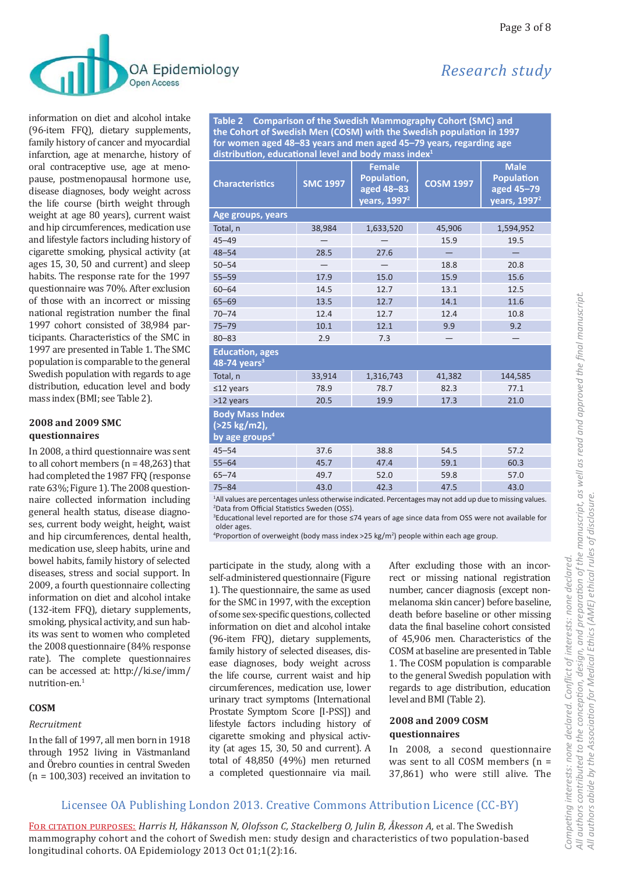

information on diet and alcohol intake (96-item FFQ), dietary supplements, family history of cancer and myocardial infarction, age at menarche, history of oral contraceptive use, age at menopause, postmenopausal hormone use, disease diagnoses, body weight across the life course (birth weight through weight at age 80 years), current waist and hip circumferences, medication use and lifestyle factors including history of cigarette smoking, physical activity (at ages 15, 30, 50 and current) and sleep habits. The response rate for the 1997 questionnaire was 70%. After exclusion of those with an incorrect or missing national registration number the final 1997 cohort consisted of 38,984 participants. Characteristics of the SMC in 1997 are presented in Table 1. The SMC population is comparable to the general Swedish population with regards to age distribution, education level and body mass index (BMI; see Table 2).

#### 2008 and 2009 SMC questionnaires

In 2008, a third questionnaire was sent to all cohort members ( $n = 48,263$ ) that had completed the 1987 FFQ (response rate 63%; Figure 1). The 2008 questionnaire collected information including general health status, disease diagnoses, current body weight, height, waist and hip circumferences, dental health, medication use, sleep habits, urine and bowel habits, family history of selected diseases, stress and social support. In 2009, a fourth questionnaire collecting information on diet and alcohol intake (132-item FFQ), dietary supplements, smoking, physical activity, and sun habits was sent to women who completed the 2008 questionnaire (84% response rate). The complete questionnaires can be accessed at: http://ki.se/imm/ nutrition-en.<sup>1</sup>

#### COSM

#### Recruitment

In the fall of 1997, all men born in 1918 through 1952 living in Västmanland and Örebro counties in central Sweden  $(n = 100,303)$  received an invitation to

Table 2 Comparison of the Swedish Mammography Cohort (SMC) and the Cohort of Swedish Men (COSM) with the Swedish population in 1997 for women aged 48-83 years and men aged 45-79 years, regarding age distribution, educational level and body mass index<sup>1</sup>

| <b>SMC 1997</b> | <b>Female</b><br>Population,<br>aged 48-83<br>years, 1997 <sup>2</sup> | <b>COSM 1997</b> | <b>Male</b><br><b>Population</b><br>aged 45-79<br>years, 1997 <sup>2</sup> |
|-----------------|------------------------------------------------------------------------|------------------|----------------------------------------------------------------------------|
|                 |                                                                        |                  |                                                                            |
| 38,984          | 1,633,520                                                              | 45,906           | 1,594,952                                                                  |
|                 |                                                                        | 15.9             | 19.5                                                                       |
| 28.5            | 27.6                                                                   |                  |                                                                            |
|                 |                                                                        | 18.8             | 20.8                                                                       |
| 17.9            | 15.0                                                                   | 15.9             | 15.6                                                                       |
| 14.5            | 12.7                                                                   | 13.1             | 12.5                                                                       |
| 13.5            | 12.7                                                                   | 14.1             | 11.6                                                                       |
| 12.4            | 12.7                                                                   | 12.4             | 10.8                                                                       |
| 10.1            | 12.1                                                                   | 9.9              | 9.2                                                                        |
| 2.9             | 7.3                                                                    |                  |                                                                            |
|                 |                                                                        |                  |                                                                            |
| 33,914          | 1,316,743                                                              | 41,382           | 144,585                                                                    |
| 78.9            | 78.7                                                                   | 82.3             | 77.1                                                                       |
| 20.5            | 19.9                                                                   | 17.3             | 21.0                                                                       |
|                 |                                                                        |                  |                                                                            |
| 37.6            | 38.8                                                                   | 54.5             | 57.2                                                                       |
| 45.7            | 47.4                                                                   | 59.1             | 60.3                                                                       |
| 49.7            | 52.0                                                                   | 59.8             | 57.0                                                                       |
| 43.0            | 42.3                                                                   | 47.5             | 43.0                                                                       |
|                 |                                                                        |                  |                                                                            |

<sup>1</sup>All values are percentages unless otherwise indicated. Percentages may not add up due to missing values. <sup>2</sup>Data from Official Statistics Sweden (OSS).

<sup>3</sup>Educational level reported are for those ≤74 years of age since data from OSS were not available for older ages.

<sup>4</sup>Proportion of overweight (body mass index >25 kg/m<sup>2</sup>) people within each age group.

participate in the study, along with a self-administered questionnaire (Figure 1). The questionnaire, the same as used for the SMC in 1997, with the exception of some sex-specific questions, collected information on diet and alcohol intake (96-item FFQ), dietary supplements, family history of selected diseases, disease diagnoses, body weight across the life course, current waist and hip circumferences, medication use, lower urinary tract symptoms (International Prostate Symptom Score [I-PSS]) and lifestyle factors including history of cigarette smoking and physical activity (at ages 15, 30, 50 and current). A total of  $48,850$  ( $49\%$ ) men returned a completed questionnaire via mail. After excluding those with an incorrect or missing national registration number, cancer diagnosis (except nonmelanoma skin cancer) before baseline, death before baseline or other missing data the final baseline cohort consisted of 45,906 men. Characteristics of the COSM at baseline are presented in Table 1. The COSM population is comparable to the general Swedish population with regards to age distribution, education level and BMI (Table 2).

#### 2008 and 2009 COSM questionnaires

In 2008, a second questionnaire was sent to all COSM members ( $n =$ 37,861) who were still alive. The

## Licensee OA Publishing London 2013. Creative Commons Attribution Licence (CC-BY)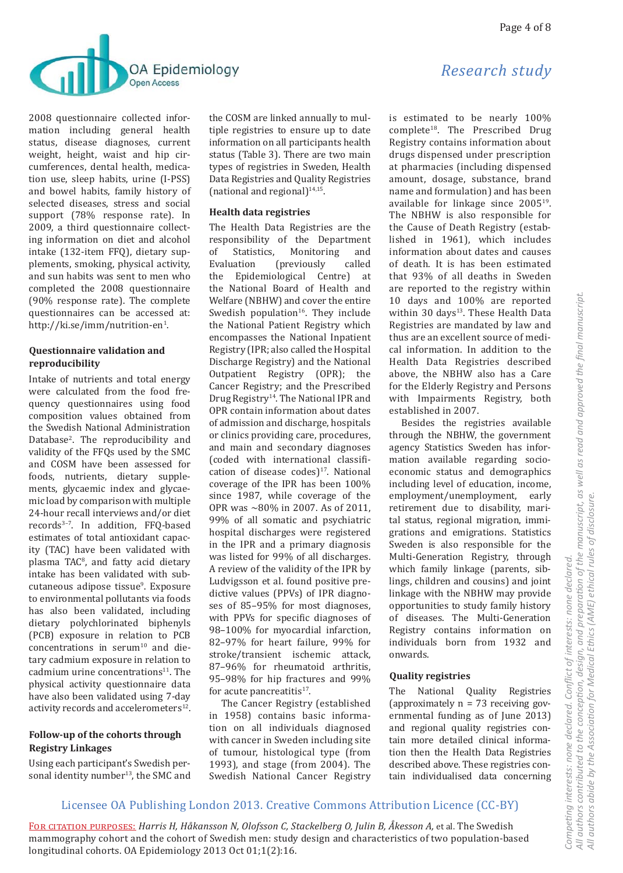

2008 questionnaire collected information including general health status, disease diagnoses, current weight, height, waist and hip circumferences, dental health, medication use, sleep habits, urine (I-PSS) and bowel habits, family history of selected diseases, stress and social support (78% response rate). In 2009, a third questionnaire collecting information on diet and alcohol intake (132-item FFQ), dietary supplements, smoking, physical activity, and sun habits was sent to men who completed the 2008 questionnaire (90% response rate). The complete questionnaires can be accessed at: http://ki.se/imm/nutrition-en<sup>1</sup>.

#### Questionnaire validation and reproducibility

Intake of nutrients and total energy were calculated from the food frequency questionnaires using food composition values obtained from the Swedish National Administration Database<sup>2</sup>. The reproducibility and validity of the FFQs used by the SMC and COSM have been assessed for foods, nutrients, dietary supplements, glycaemic index and glycaemic load by comparison with multiple 24-hour recall interviews and/or diet records<sup>3-7</sup>. In addition, FFQ-based estimates of total antioxidant capacity (TAC) have been validated with plasma TAC<sup>8</sup>, and fatty acid dietary intake has been validated with subcutaneous adipose tissue<sup>9</sup>. Exposure to environmental pollutants via foods has also been validated, including dietary polychlorinated biphenyls (PCB) exposure in relation to PCB concentrations in serum<sup>10</sup> and dietary cadmium exposure in relation to cadmium urine concentrations<sup>11</sup>. The physical activity questionnaire data have also been validated using 7-day activity records and accelerometers<sup>12</sup>.

#### Follow-up of the cohorts through **Registry Linkages**

Using each participant's Swedish personal identity number<sup>13</sup>, the SMC and the COSM are linked annually to multiple registries to ensure up to date information on all participants health status (Table 3). There are two main types of registries in Sweden, Health Data Registries and Quality Registries (national and regional) $14,15$ .

#### **Health data registries**

The Health Data Registries are the responsibility of the Department of Statistics. Monitoring and Evaluation *(previously)* called the Epidemiological Centre) at the National Board of Health and Welfare (NBHW) and cover the entire Swedish population<sup>16</sup>. They include the National Patient Registry which encompasses the National Inpatient Registry (IPR; also called the Hospital Discharge Registry) and the National Outpatient Registry (OPR); the Cancer Registry; and the Prescribed Drug Registry<sup>14</sup>. The National IPR and OPR contain information about dates of admission and discharge, hospitals or clinics providing care, procedures, and main and secondary diagnoses (coded with international classification of disease codes)<sup>17</sup>. National coverage of the IPR has been 100% since 1987, while coverage of the OPR was  $\sim 80\%$  in 2007. As of 2011, 99% of all somatic and psychiatric hospital discharges were registered in the IPR and a primary diagnosis was listed for 99% of all discharges. A review of the validity of the IPR by Ludvigsson et al. found positive predictive values (PPVs) of IPR diagnoses of 85-95% for most diagnoses, with PPVs for specific diagnoses of 98-100% for myocardial infarction, 82-97% for heart failure, 99% for stroke/transient ischemic attack, 87-96% for rheumatoid arthritis, 95-98% for hip fractures and 99% for acute pancreatitis<sup>17</sup>.

The Cancer Registry (established in 1958) contains basic information on all individuals diagnosed with cancer in Sweden including site of tumour, histological type (from 1993), and stage (from 2004). The Swedish National Cancer Registry

is estimated to be nearly 100% complete<sup>18</sup>. The Prescribed Drug Registry contains information about drugs dispensed under prescription at pharmacies (including dispensed amount, dosage, substance, brand name and formulation) and has been available for linkage since 2005<sup>19</sup>. The NBHW is also responsible for the Cause of Death Registry (established in 1961), which includes information about dates and causes of death. It is has been estimated that 93% of all deaths in Sweden are reported to the registry within 10 days and 100% are reported within 30 days<sup>13</sup>. These Health Data Registries are mandated by law and thus are an excellent source of medical information. In addition to the Health Data Registries described above, the NBHW also has a Care for the Elderly Registry and Persons with Impairments Registry, both established in 2007.

Besides the registries available through the NBHW, the government agency Statistics Sweden has information available regarding socioeconomic status and demographics including level of education, income, employment/unemployment, early retirement due to disability, marital status, regional migration, immigrations and emigrations. Statistics Sweden is also responsible for the Multi-Generation Registry, through which family linkage (parents, siblings, children and cousins) and joint linkage with the NBHW may provide opportunities to study family history of diseases. The Multi-Generation Registry contains information on individuals born from 1932 and onwards.

#### **Quality registries**

The National Quality Registries (approximately  $n = 73$  receiving governmental funding as of June 2013) and regional quality registries contain more detailed clinical information then the Health Data Registries described above. These registries contain individualised data concerning

## Licensee OA Publishing London 2013. Creative Commons Attribution Licence (CC-BY)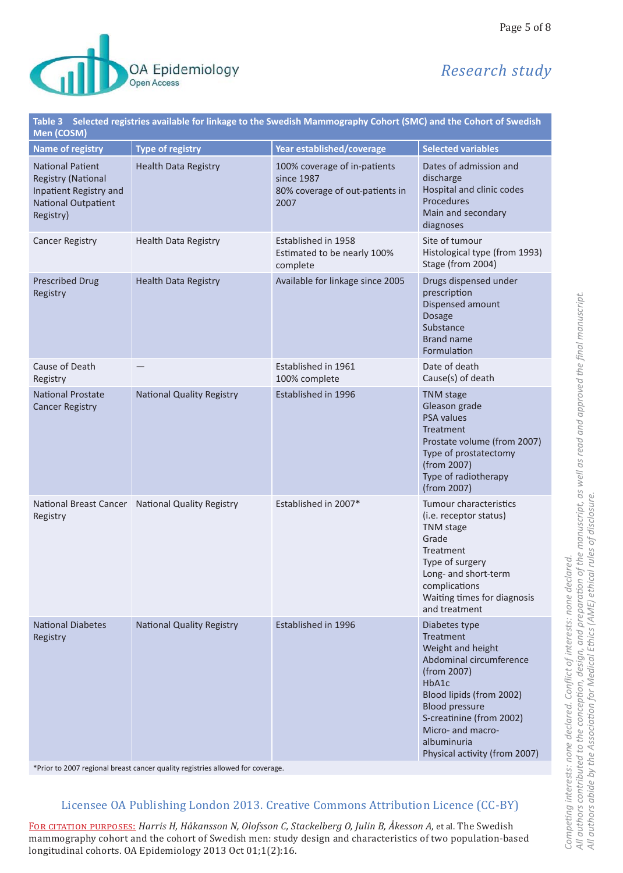

# Research study

Page 5 of 8

| Table 3 Selected registries available for linkage to the Swedish Mammography Cohort (SMC) and the Cohort of Swedish<br>Men (COSM) |                                                  |                                                                                       |                                                                                                                                                                                                                                                                 |  |
|-----------------------------------------------------------------------------------------------------------------------------------|--------------------------------------------------|---------------------------------------------------------------------------------------|-----------------------------------------------------------------------------------------------------------------------------------------------------------------------------------------------------------------------------------------------------------------|--|
| <b>Name of registry</b>                                                                                                           | <b>Type of registry</b>                          | Year established/coverage                                                             | <b>Selected variables</b>                                                                                                                                                                                                                                       |  |
| <b>National Patient</b><br><b>Registry (National</b><br>Inpatient Registry and<br>National Outpatient<br>Registry)                | <b>Health Data Registry</b>                      | 100% coverage of in-patients<br>since 1987<br>80% coverage of out-patients in<br>2007 | Dates of admission and<br>discharge<br>Hospital and clinic codes<br>Procedures<br>Main and secondary<br>diagnoses                                                                                                                                               |  |
| <b>Cancer Registry</b>                                                                                                            | <b>Health Data Registry</b>                      | Established in 1958<br>Estimated to be nearly 100%<br>complete                        | Site of tumour<br>Histological type (from 1993)<br>Stage (from 2004)                                                                                                                                                                                            |  |
| <b>Prescribed Drug</b><br>Registry                                                                                                | <b>Health Data Registry</b>                      | Available for linkage since 2005                                                      | Drugs dispensed under<br>prescription<br>Dispensed amount<br><b>Dosage</b><br>Substance<br><b>Brand name</b><br>Formulation                                                                                                                                     |  |
| Cause of Death<br>Registry                                                                                                        |                                                  | Established in 1961<br>100% complete                                                  | Date of death<br>Cause(s) of death                                                                                                                                                                                                                              |  |
| <b>National Prostate</b><br><b>Cancer Registry</b>                                                                                | <b>National Quality Registry</b>                 | Established in 1996                                                                   | <b>TNM</b> stage<br>Gleason grade<br><b>PSA values</b><br>Treatment<br>Prostate volume (from 2007)<br>Type of prostatectomy<br>(from 2007)<br>Type of radiotherapy<br>(from 2007)                                                                               |  |
| Registry                                                                                                                          | National Breast Cancer National Quality Registry | Established in 2007*                                                                  | Tumour characteristics<br>(i.e. receptor status)<br><b>TNM</b> stage<br>Grade<br>Treatment<br>Type of surgery<br>Long- and short-term<br>complications<br>Waiting times for diagnosis<br>and treatment                                                          |  |
| <b>National Diabetes</b><br>Registry                                                                                              | <b>National Quality Registry</b>                 | Established in 1996                                                                   | Diabetes type<br><b>Treatment</b><br>Weight and height<br>Abdominal circumference<br>(from 2007)<br>HbA1c<br>Blood lipids (from 2002)<br><b>Blood pressure</b><br>S-creatinine (from 2002)<br>Micro- and macro-<br>albuminuria<br>Physical activity (from 2007) |  |

\*Prior to 2007 regional breast cancer quality registries allowed for coverage.

#### Licensee OA Publishing London 2013. Creative Commons Attribution Licence (CC-BY)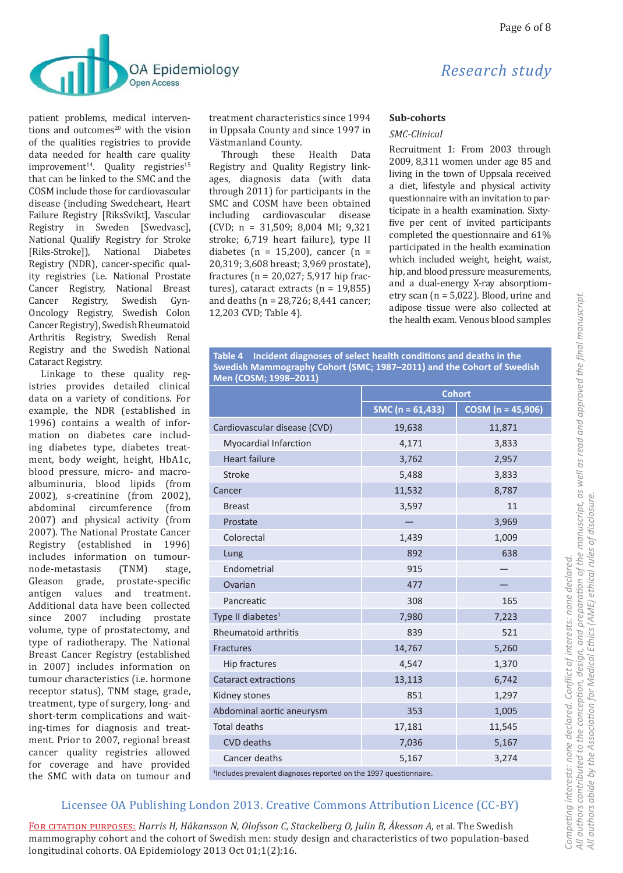

patient problems, medical interventions and outcomes $20$  with the vision of the qualities registries to provide data needed for health care quality improvement<sup>14</sup>. Quality registries<sup>15</sup> that can be linked to the SMC and the COSM include those for cardiovascular disease (including Swedeheart, Heart Failure Registry [RiksSvikt], Vascular Registry in Sweden [Swedvasc], National Qualify Registry for Stroke [Riks-Stroke]), National Diabetes Registry (NDR), cancer-specific quality registries (i.e. National Prostate Cancer Registry, National Breast Cancer Registry, Swedish Gyn-Oncology Registry, Swedish Colon Cancer Registry), Swedish Rheumatoid Arthritis Registry, Swedish Renal Registry and the Swedish National Cataract Registry.

Linkage to these quality registries provides detailed clinical data on a variety of conditions. For example, the NDR (established in 1996) contains a wealth of information on diabetes care including diabetes type, diabetes treatment, body weight, height, HbA1c, blood pressure, micro- and macroalbuminuria, blood lipids (from 2002), s-creatinine (from 2002), abdominal circumference (from 2007) and physical activity (from 2007). The National Prostate Cancer Registry (established in 1996) includes information on tumournode-metastasis  $(TNM)$ stage, Gleason grade, prostate-specific antigen values and treatment. Additional data have been collected since 2007 including prostate volume, type of prostatectomy, and type of radiotherapy. The National Breast Cancer Registry (established in 2007) includes information on tumour characteristics (i.e. hormone receptor status), TNM stage, grade, treatment, type of surgery, long- and short-term complications and waiting-times for diagnosis and treatment. Prior to 2007, regional breast cancer quality registries allowed for coverage and have provided the SMC with data on tumour and treatment characteristics since 1994 in Uppsala County and since 1997 in Västmanland County.

Through these Health Data Registry and Quality Registry linkages, diagnosis data (with data through 2011) for participants in the SMC and COSM have been obtained including cardiovascular disease (CVD;  $n = 31,509$ ; 8,004 MI; 9,321 stroke; 6,719 heart failure), type II diabetes (n = 15,200), cancer (n = 20,319; 3,608 breast; 3,969 prostate), fractures ( $n = 20.027$ ; 5,917 hip fractures), cataract extracts  $(n = 19.855)$ and deaths ( $n = 28,726$ ; 8,441 cancer; 12,203 CVD; Table 4).

# Research study

#### Sub-cohorts

#### SMC-Clinical

Recruitment 1: From 2003 through 2009, 8,311 women under age 85 and living in the town of Uppsala received a diet, lifestyle and physical activity questionnaire with an invitation to participate in a health examination. Sixtyfive per cent of invited participants completed the questionnaire and 61% participated in the health examination which included weight, height, waist, hip, and blood pressure measurements, and a dual-energy X-ray absorptiometry scan ( $n = 5,022$ ). Blood, urine and adipose tissue were also collected at the health exam. Venous blood samples

Table 4 Incident diagnoses of select health conditions and deaths in the Swedish Mammography Cohort (SMC; 1987-2011) and the Cohort of Swedish Men (COSM; 1998-2011)

|                                                                              | <b>Cohort</b>        |                     |  |  |
|------------------------------------------------------------------------------|----------------------|---------------------|--|--|
|                                                                              | SMC ( $n = 61,433$ ) | $COSM (n = 45,906)$ |  |  |
| Cardiovascular disease (CVD)                                                 | 19,638               | 11,871              |  |  |
| Myocardial Infarction                                                        | 4,171                | 3,833               |  |  |
| <b>Heart failure</b>                                                         | 3,762                | 2,957               |  |  |
| Stroke                                                                       | 5,488                | 3,833               |  |  |
| Cancer                                                                       | 11,532               | 8,787               |  |  |
| <b>Breast</b>                                                                | 3,597                | 11                  |  |  |
| Prostate                                                                     |                      | 3,969               |  |  |
| Colorectal                                                                   | 1,439                | 1,009               |  |  |
| Lung                                                                         | 892                  | 638                 |  |  |
| Endometrial                                                                  | 915                  |                     |  |  |
| Ovarian                                                                      | 477                  |                     |  |  |
| Pancreatic                                                                   | 308                  | 165                 |  |  |
| Type II diabetes <sup>1</sup>                                                | 7,980                | 7,223               |  |  |
| Rheumatoid arthritis                                                         | 839                  | 521                 |  |  |
| Fractures                                                                    | 14,767               | 5,260               |  |  |
| Hip fractures                                                                | 4,547                | 1,370               |  |  |
| <b>Cataract extractions</b>                                                  | 13,113               | 6,742               |  |  |
| Kidney stones                                                                | 851                  | 1,297               |  |  |
| Abdominal aortic aneurysm                                                    | 353                  | 1,005               |  |  |
| <b>Total deaths</b>                                                          | 17,181               | 11,545              |  |  |
| <b>CVD</b> deaths                                                            | 7,036                | 5,167               |  |  |
| Cancer deaths                                                                | 5,167                | 3,274               |  |  |
| <sup>1</sup> Includes prevalent diagnoses reported on the 1997 questionnaire |                      |                     |  |  |

#### Licensee OA Publishing London 2013. Creative Commons Attribution Licence (CC-BY)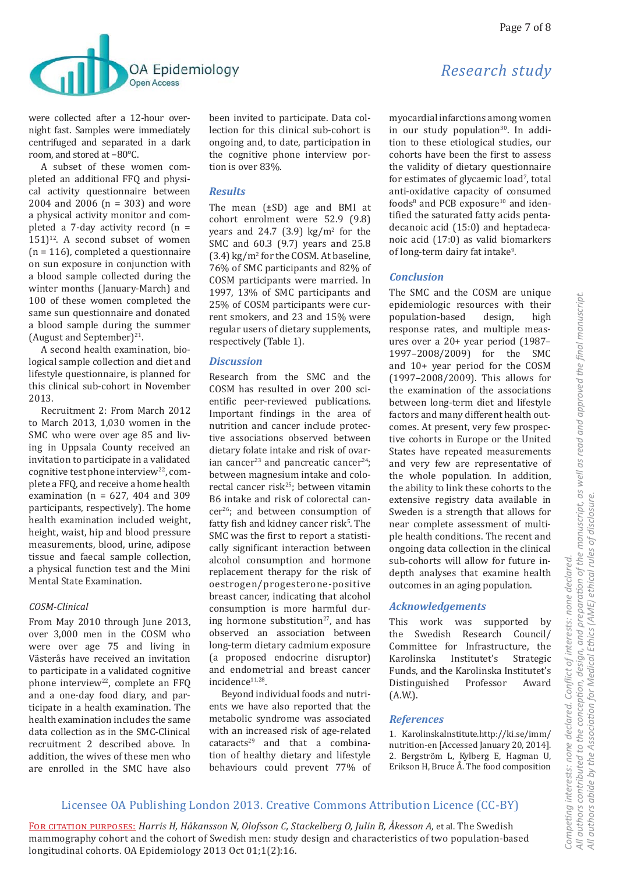

were collected after a 12-hour overnight fast. Samples were immediately centrifuged and separated in a dark room, and stored at −80°C.

A subset of these women completed an additional FFQ and physical activity questionnaire between 2004 and 2006 (n = 303) and wore a physical activity monitor and completed a 7-day activity record (n =  $151$ <sup>12</sup>. A second subset of women  $(n = 116)$ , completed a questionnaire on sun exposure in conjunction with a blood sample collected during the winter months (January-March) and 100 of these women completed the same sun questionnaire and donated a blood sample during the summer (August and September) $^{21}$ .

A second health examination, biological sample collection and diet and lifestyle questionnaire, is planned for this clinical sub-cohort in November 2013.

Recruitment 2: From March 2012 to March 2013, 1,030 women in the SMC who were over age 85 and living in Uppsala County received an invitation to participate in a validated cognitive test phone interview $22$ , complete a FFQ, and receive a home health examination ( $n = 627$ , 404 and 309 participants, respectively). The home health examination included weight, height, waist, hip and blood pressure measurements, blood, urine, adipose tissue and faecal sample collection, a physical function test and the Mini Mental State Examination.

#### *COSM-Clinical*

From May 2010 through June 2013, over 3,000 men in the COSM who were over age 75 and living in Västerås have received an invitation to participate in a validated cognitive phone interview<sup>22</sup>, complete an FFQ and a one-day food diary, and participate in a health examination. The health examination includes the same data collection as in the SMC-Clinical recruitment 2 described above. In addition, the wives of these men who are enrolled in the SMC have also

been invited to participate. Data collection for this clinical sub-cohort is ongoing and, to date, participation in the cognitive phone interview portion is over 83%.

#### *Results*

The mean (±SD) age and BMI at cohort enrolment were 52.9 (9.8) years and 24.7  $(3.9)$  kg/m<sup>2</sup> for the SMC and 60.3 (9.7) years and 25.8  $(3.4)$  kg/m<sup>2</sup> for the COSM. At baseline, 76% of SMC participants and 82% of COSM participants were married. In 1997, 13% of SMC participants and 25% of COSM participants were current smokers, and 23 and 15% were regular users of dietary supplements, respectively (Table 1).

#### *Discussion*

Research from the SMC and the COSM has resulted in over 200 scientific peer-reviewed publications. Important findings in the area of nutrition and cancer include protective associations observed between dietary folate intake and risk of ovarian cancer<sup>23</sup> and pancreatic cancer<sup>24</sup>; between magnesium intake and colorectal cancer risk<sup>25</sup>; between vitamin B6 intake and risk of colorectal cancer26; and between consumption of fatty fish and kidney cancer risk<sup>5</sup>. The SMC was the first to report a statistically significant interaction between alcohol consumption and hormone replacement therapy for the risk of oestrogen/progesterone-positive breast cancer, indicating that alcohol consumption is more harmful during hormone substitution<sup>27</sup>, and has observed an association between long-term dietary cadmium exposure (a proposed endocrine disruptor) and endometrial and breast cancer incidence<sup>11,28</sup>.

Beyond individual foods and nutrients we have also reported that the metabolic syndrome was associated with an increased risk of age-related  $cataracts<sup>29</sup>$  and that a combination of healthy dietary and lifestyle behaviours could prevent 77% of

## *Research study*

myocardial infarctions among women in our study population<sup>30</sup>. In addition to these etiological studies, our cohorts have been the first to assess the validity of dietary questionnaire for estimates of glycaemic load<sup>7</sup>, total anti-oxidative capacity of consumed foods $8$  and PCB exposure<sup>10</sup> and identified the saturated fatty acids pentadecanoic acid (15:0) and heptadecanoic acid (17:0) as valid biomarkers of long-term dairy fat intake<sup>9</sup>.

#### *Conclusion*

The SMC and the COSM are unique epidemiologic resources with their population-based design, high response rates, and multiple measures over a 20+ year period (1987– 1997–2008/2009) for the SMC and 10+ year period for the COSM (1997–2008/2009). This allows for the examination of the associations between long-term diet and lifestyle factors and many different health outcomes. At present, very few prospective cohorts in Europe or the United States have repeated measurements and very few are representative of the whole population. In addition, the ability to link these cohorts to the extensive registry data available in Sweden is a strength that allows for near complete assessment of multiple health conditions. The recent and ongoing data collection in the clinical sub-cohorts will allow for future indepth analyses that examine health outcomes in an aging population.

#### *Acknowledgements*

This work was supported by the Swedish Research Council/ Committee for Infrastructure, the Karolinska Institutet's Strategic Funds, and the Karolinska Institutet's Distinguished Professor Award (A.W.).

#### *References*

1. KarolinskaInstitute.http://ki.se/imm/ nutrition-en [Accessed January 20, 2014]. 2. Bergström L, Kylberg E, Hagman U, Erikson H, Bruce Å. The food composition

## Licensee OA Publishing London 2013. Creative Commons Attribution Licence (CC-BY)